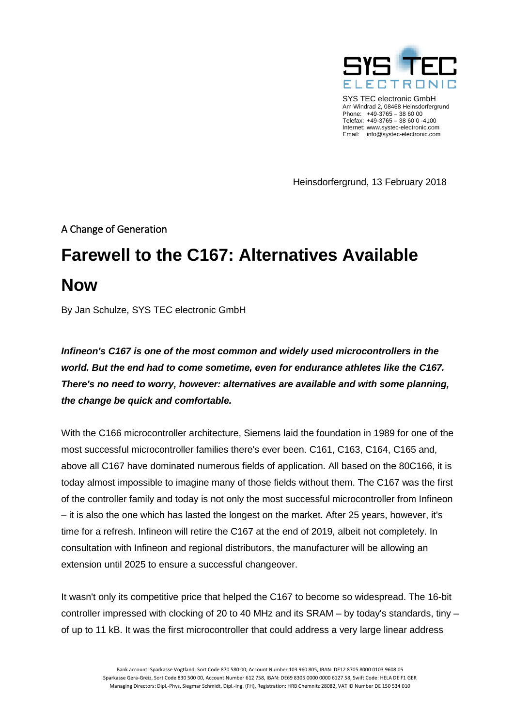

SYS TEC electronic GmbH Am Windrad 2, 08468 Heinsdorfergrund Phone: +49-3765 – 38 60 00 Telefax: +49-3765 – 38 60 0 -4100 Internet: www.systec-electronic.com Email: info@systec-electronic.com

Heinsdorfergrund, 13 February 2018

A Change of Generation

# **Farewell to the C167: Alternatives Available Now**

By Jan Schulze, SYS TEC electronic GmbH

*Infineon's C167 is one of the most common and widely used microcontrollers in the world. But the end had to come sometime, even for endurance athletes like the C167. There's no need to worry, however: alternatives are available and with some planning, the change be quick and comfortable.*

With the C166 microcontroller architecture, Siemens laid the foundation in 1989 for one of the most successful microcontroller families there's ever been. C161, C163, C164, C165 and, above all C167 have dominated numerous fields of application. All based on the 80C166, it is today almost impossible to imagine many of those fields without them. The C167 was the first of the controller family and today is not only the most successful microcontroller from Infineon – it is also the one which has lasted the longest on the market. After 25 years, however, it's time for a refresh. Infineon will retire the C167 at the end of 2019, albeit not completely. In consultation with Infineon and regional distributors, the manufacturer will be allowing an extension until 2025 to ensure a successful changeover.

It wasn't only its competitive price that helped the C167 to become so widespread. The 16-bit controller impressed with clocking of 20 to 40 MHz and its SRAM – by today's standards, tiny – of up to 11 kB. It was the first microcontroller that could address a very large linear address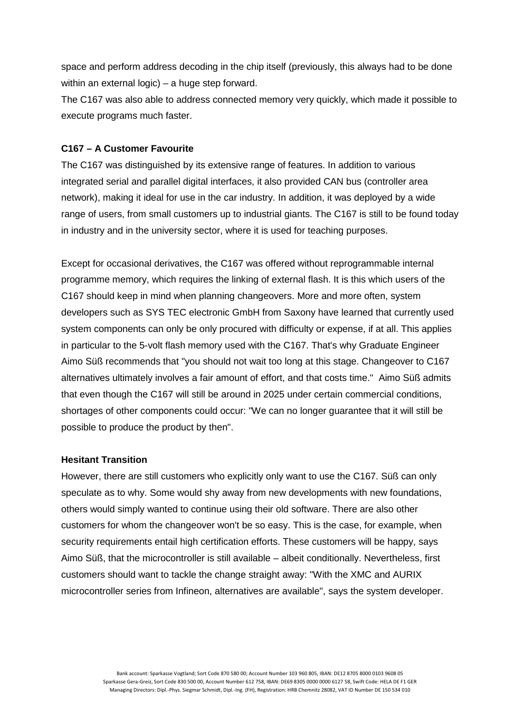space and perform address decoding in the chip itself (previously, this always had to be done within an external logic) – a huge step forward.

The C167 was also able to address connected memory very quickly, which made it possible to execute programs much faster.

## **C167 – A Customer Favourite**

The C167 was distinguished by its extensive range of features. In addition to various integrated serial and parallel digital interfaces, it also provided CAN bus (controller area network), making it ideal for use in the car industry. In addition, it was deployed by a wide range of users, from small customers up to industrial giants. The C167 is still to be found today in industry and in the university sector, where it is used for teaching purposes.

Except for occasional derivatives, the C167 was offered without reprogrammable internal programme memory, which requires the linking of external flash. It is this which users of the C167 should keep in mind when planning changeovers. More and more often, system developers such as SYS TEC electronic GmbH from Saxony have learned that currently used system components can only be only procured with difficulty or expense, if at all. This applies in particular to the 5-volt flash memory used with the C167. That's why Graduate Engineer Aimo Süß recommends that "you should not wait too long at this stage. Changeover to C167 alternatives ultimately involves a fair amount of effort, and that costs time." Aimo Süß admits that even though the C167 will still be around in 2025 under certain commercial conditions, shortages of other components could occur: "We can no longer guarantee that it will still be possible to produce the product by then".

#### **Hesitant Transition**

However, there are still customers who explicitly only want to use the C167. Süß can only speculate as to why. Some would shy away from new developments with new foundations, others would simply wanted to continue using their old software. There are also other customers for whom the changeover won't be so easy. This is the case, for example, when security requirements entail high certification efforts. These customers will be happy, says Aimo Süß, that the microcontroller is still available – albeit conditionally. Nevertheless, first customers should want to tackle the change straight away: "With the XMC and AURIX microcontroller series from Infineon, alternatives are available", says the system developer.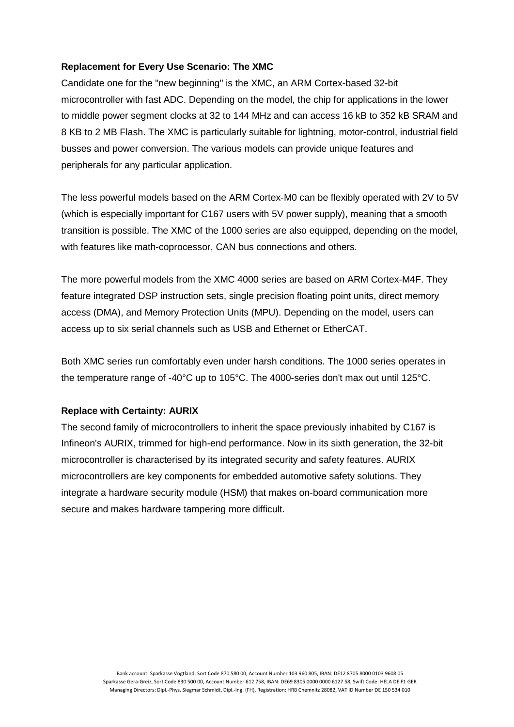## **Replacement for Every Use Scenario: The XMC**

Candidate one for the "new beginning" is the XMC, an ARM Cortex-based 32-bit microcontroller with fast ADC. Depending on the model, the chip for applications in the lower to middle power segment clocks at 32 to 144 MHz and can access 16 kB to 352 kB SRAM and 8 KB to 2 MB Flash. The XMC is particularly suitable for lightning, motor-control, industrial field busses and power conversion. The various models can provide unique features and peripherals for any particular application.

The less powerful models based on the ARM Cortex-M0 can be flexibly operated with 2V to 5V (which is especially important for C167 users with 5V power supply), meaning that a smooth transition is possible. The XMC of the 1000 series are also equipped, depending on the model, with features like math-coprocessor, CAN bus connections and others.

The more powerful models from the XMC 4000 series are based on ARM Cortex-M4F. They feature integrated DSP instruction sets, single precision floating point units, direct memory access (DMA), and Memory Protection Units (MPU). Depending on the model, users can access up to six serial channels such as USB and Ethernet or EtherCAT.

Both XMC series run comfortably even under harsh conditions. The 1000 series operates in the temperature range of -40°C up to 105°C. The 4000-series don't max out until 125°C.

#### **Replace with Certainty: AURIX**

The second family of microcontrollers to inherit the space previously inhabited by C167 is Infineon's AURIX, trimmed for high-end performance. Now in its sixth generation, the 32-bit microcontroller is characterised by its integrated security and safety features. AURIX microcontrollers are key components for embedded automotive safety solutions. They integrate a hardware security module (HSM) that makes on-board communication more secure and makes hardware tampering more difficult.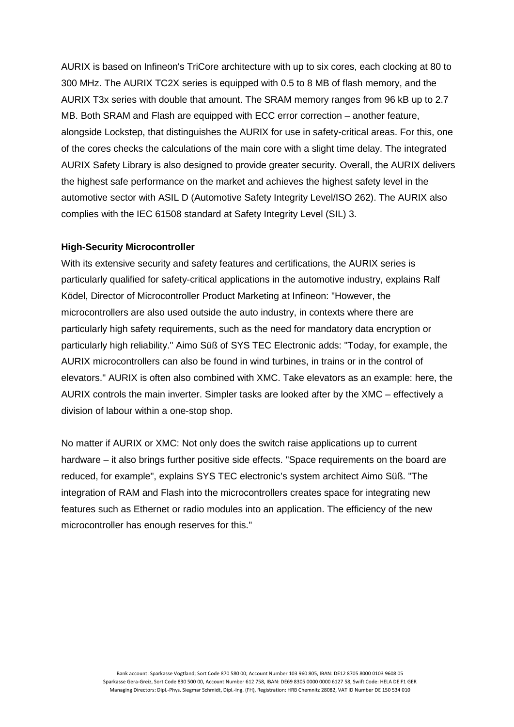AURIX is based on Infineon's TriCore architecture with up to six cores, each clocking at 80 to 300 MHz. The AURIX TC2X series is equipped with 0.5 to 8 MB of flash memory, and the AURIX T3x series with double that amount. The SRAM memory ranges from 96 kB up to 2.7 MB. Both SRAM and Flash are equipped with ECC error correction – another feature, alongside Lockstep, that distinguishes the AURIX for use in safety-critical areas. For this, one of the cores checks the calculations of the main core with a slight time delay. The integrated AURIX Safety Library is also designed to provide greater security. Overall, the AURIX delivers the highest safe performance on the market and achieves the highest safety level in the automotive sector with ASIL D (Automotive Safety Integrity Level/ISO 262). The AURIX also complies with the IEC 61508 standard at Safety Integrity Level (SIL) 3.

#### **High-Security Microcontroller**

With its extensive security and safety features and certifications, the AURIX series is particularly qualified for safety-critical applications in the automotive industry, explains Ralf Ködel, Director of Microcontroller Product Marketing at Infineon: "However, the microcontrollers are also used outside the auto industry, in contexts where there are particularly high safety requirements, such as the need for mandatory data encryption or particularly high reliability." Aimo Süß of SYS TEC Electronic adds: "Today, for example, the AURIX microcontrollers can also be found in wind turbines, in trains or in the control of elevators." AURIX is often also combined with XMC. Take elevators as an example: here, the AURIX controls the main inverter. Simpler tasks are looked after by the XMC – effectively a division of labour within a one-stop shop.

No matter if AURIX or XMC: Not only does the switch raise applications up to current hardware – it also brings further positive side effects. "Space requirements on the board are reduced, for example", explains SYS TEC electronic's system architect Aimo Süß. "The integration of RAM and Flash into the microcontrollers creates space for integrating new features such as Ethernet or radio modules into an application. The efficiency of the new microcontroller has enough reserves for this."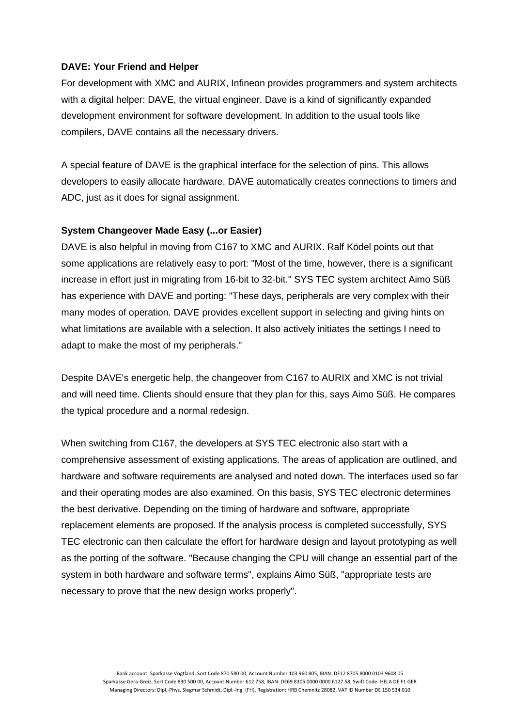### **DAVE: Your Friend and Helper**

For development with XMC and AURIX, Infineon provides programmers and system architects with a digital helper: DAVE, the virtual engineer. Dave is a kind of significantly expanded development environment for software development. In addition to the usual tools like compilers, DAVE contains all the necessary drivers.

A special feature of DAVE is the graphical interface for the selection of pins. This allows developers to easily allocate hardware. DAVE automatically creates connections to timers and ADC, just as it does for signal assignment.

## **System Changeover Made Easy (...or Easier)**

DAVE is also helpful in moving from C167 to XMC and AURIX. Ralf Ködel points out that some applications are relatively easy to port: "Most of the time, however, there is a significant increase in effort just in migrating from 16-bit to 32-bit." SYS TEC system architect Aimo Süß has experience with DAVE and porting: "These days, peripherals are very complex with their many modes of operation. DAVE provides excellent support in selecting and giving hints on what limitations are available with a selection. It also actively initiates the settings I need to adapt to make the most of my peripherals."

Despite DAVE's energetic help, the changeover from C167 to AURIX and XMC is not trivial and will need time. Clients should ensure that they plan for this, says Aimo Süß. He compares the typical procedure and a normal redesign.

When switching from C167, the developers at SYS TEC electronic also start with a comprehensive assessment of existing applications. The areas of application are outlined, and hardware and software requirements are analysed and noted down. The interfaces used so far and their operating modes are also examined. On this basis, SYS TEC electronic determines the best derivative. Depending on the timing of hardware and software, appropriate replacement elements are proposed. If the analysis process is completed successfully, SYS TEC electronic can then calculate the effort for hardware design and layout prototyping as well as the porting of the software. "Because changing the CPU will change an essential part of the system in both hardware and software terms", explains Aimo Süß, "appropriate tests are necessary to prove that the new design works properly".